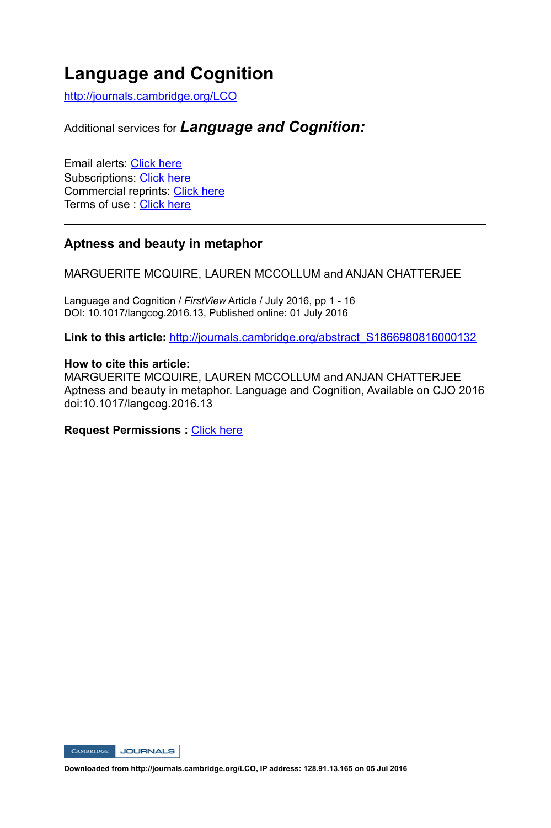# **Language and Cognition**

http://journals.cambridge.org/LCO

# Additional services for *Language and Cognition:*

Email alerts: Click here Subscriptions: Click here Commercial reprints: Click here Terms of use : Click here

# **Aptness and beauty in metaphor**

MARGUERITE MCQUIRE, LAUREN MCCOLLUM and ANJAN CHATTERJEE

Language and Cognition / *FirstView* Article / July 2016, pp 1 - 16 DOI: 10.1017/langcog.2016.13, Published online: 01 July 2016

Link to this article: http://journals.cambridge.org/abstract\_S1866980816000132

# **How to cite this article:**

MARGUERITE MCQUIRE, LAUREN MCCOLLUM and ANJAN CHATTERJEE Aptness and beauty in metaphor. Language and Cognition, Available on CJO 2016 doi:10.1017/langcog.2016.13

# **Request Permissions :** Click here

CAMBRIDGE JOURNALS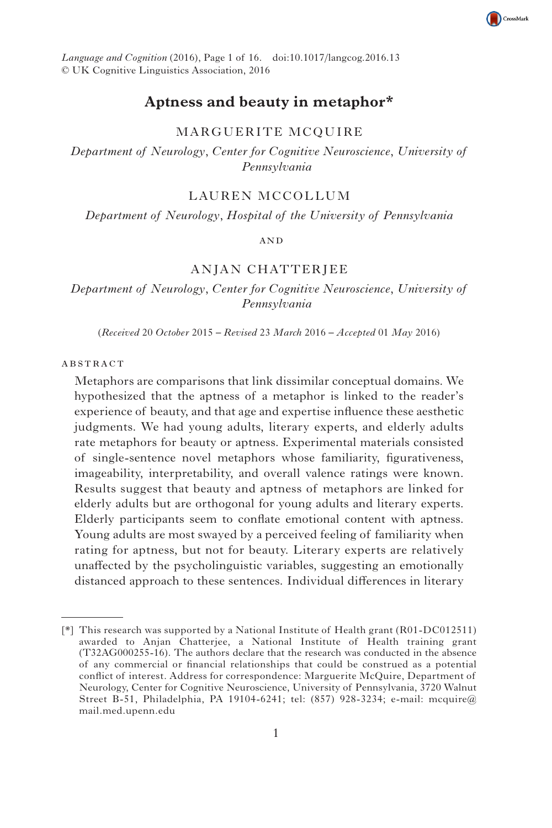

*Language and Cognition* (2016), Page 1 of 16 . doi:10.1017/langcog.2016.13 © UK Cognitive Linguistics Association, 2016

# **Aptness and beauty in metaphor \***

# MARGUERITE MCQUIRE

*Department of Neurology* , *Center for Cognitive Neuroscience* , *University of Pennsylvania* 

# LAUREN MCCOLLUM

*Department of Neurology* , *Hospital of the University of Pennsylvania* 

#### **AND**

# ANJAN CHATTERJEE

*Department of Neurology* , *Center for Cognitive Neuroscience* , *University of Pennsylvania* 

(*Received* 20 *October* 2015 *– Revised* 23 *March* 2016 *– Accepted* 01 *May* 2016)

# **ABSTRACT**

Metaphors are comparisons that link dissimilar conceptual domains. We hypothesized that the aptness of a metaphor is linked to the reader's experience of beauty, and that age and expertise influence these aesthetic judgments. We had young adults, literary experts, and elderly adults rate metaphors for beauty or aptness. Experimental materials consisted of single-sentence novel metaphors whose familiarity, figurativeness, imageability, interpretability, and overall valence ratings were known. Results suggest that beauty and aptness of metaphors are linked for elderly adults but are orthogonal for young adults and literary experts. Elderly participants seem to conflate emotional content with aptness. Young adults are most swayed by a perceived feeling of familiarity when rating for aptness, but not for beauty. Literary experts are relatively unaffected by the psycholinguistic variables, suggesting an emotionally distanced approach to these sentences. Individual differences in literary

 $[*]$  This research was supported by a National Institute of Health grant (R01-DC012511) awarded to Anjan Chatterjee, a National Institute of Health training grant (T32AG000255-16). The authors declare that the research was conducted in the absence of any commercial or financial relationships that could be construed as a potential conflict of interest. Address for correspondence: Marguerite McQuire, Department of Neurology, Center for Cognitive Neuroscience, University of Pennsylvania, 3720 Walnut Street B-51, Philadelphia, PA 19104-6241; tel: (857) 928-3234; e-mail: mcquire@ mail.med.upenn.edu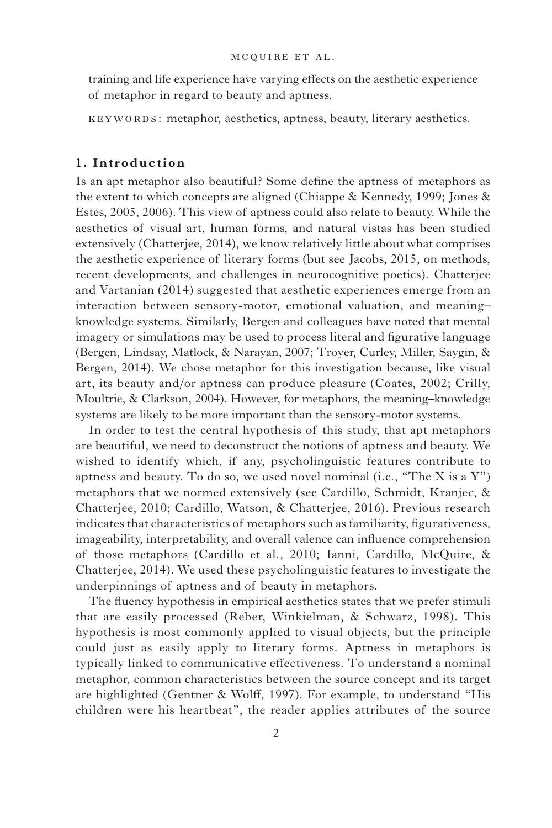training and life experience have varying effects on the aesthetic experience of metaphor in regard to beauty and aptness.

KEYWORDS: metaphor, aesthetics, aptness, beauty, literary aesthetics.

# **1. Introduction**

Is an apt metaphor also beautiful? Some define the aptness of metaphors as the extent to which concepts are aligned (Chiappe & Kennedy, 1999; Jones & Estes, 2005 , 2006 ). This view of aptness could also relate to beauty. While the aesthetics of visual art, human forms, and natural vistas has been studied extensively (Chatterjee, 2014), we know relatively little about what comprises the aesthetic experience of literary forms (but see Jacobs, 2015 , on methods, recent developments, and challenges in neurocognitive poetics). Chatterjee and Vartanian (2014) suggested that aesthetic experiences emerge from an interaction between sensory-motor, emotional valuation, and meaning– knowledge systems. Similarly, Bergen and colleagues have noted that mental imagery or simulations may be used to process literal and figurative language (Bergen, Lindsay, Matlock, & Narayan, 2007 ; Troyer, Curley, Miller, Saygin, & Bergen, 2014). We chose metaphor for this investigation because, like visual art, its beauty and/or aptness can produce pleasure (Coates, 2002; Crilly, Moultrie, & Clarkson, 2004). However, for metaphors, the meaning–knowledge systems are likely to be more important than the sensory-motor systems.

In order to test the central hypothesis of this study, that apt metaphors are beautiful, we need to deconstruct the notions of aptness and beauty. We wished to identify which, if any, psycholinguistic features contribute to aptness and beauty. To do so, we used novel nominal (i.e., "The X is a  $Y$ ") metaphors that we normed extensively (see Cardillo, Schmidt, Kranjec, & Chatterjee, 2010; Cardillo, Watson, & Chatterjee, 2016). Previous research indicates that characteristics of metaphors such as familiarity, figurativeness, imageability, interpretability, and overall valence can influence comprehension of those metaphors (Cardillo et al., 2010; Ianni, Cardillo, McQuire, & Chatterjee, 2014 ). We used these psycholinguistic features to investigate the underpinnings of aptness and of beauty in metaphors.

The fluency hypothesis in empirical aesthetics states that we prefer stimuli that are easily processed (Reber, Winkielman,  $\&$  Schwarz, 1998). This hypothesis is most commonly applied to visual objects, but the principle could just as easily apply to literary forms. Aptness in metaphors is typically linked to communicative effectiveness. To understand a nominal metaphor, common characteristics between the source concept and its target are highlighted (Gentner & Wolff, 1997). For example, to understand "His children were his heartbeat", the reader applies attributes of the source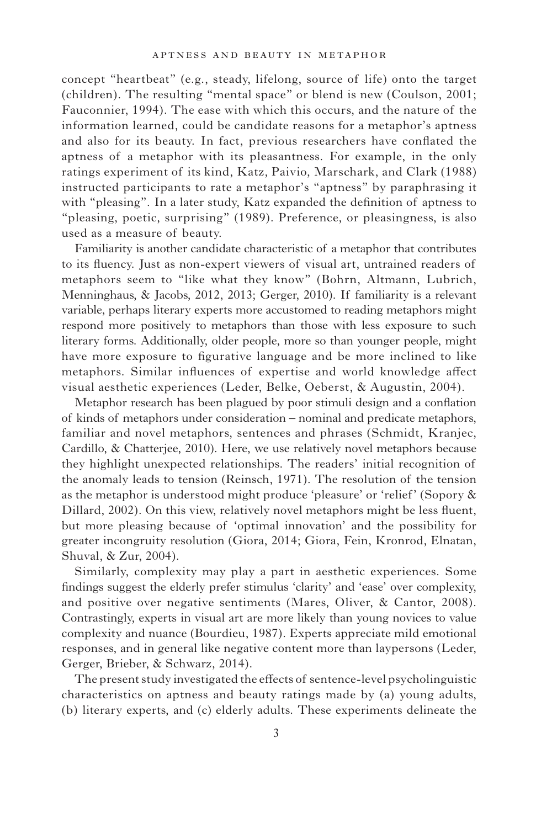concept "heartbeat" (e.g., steady, lifelong, source of life) onto the target (children). The resulting "mental space" or blend is new (Coulson, 2001; Fauconnier, 1994). The ease with which this occurs, and the nature of the information learned, could be candidate reasons for a metaphor's aptness and also for its beauty. In fact, previous researchers have conflated the aptness of a metaphor with its pleasantness. For example, in the only ratings experiment of its kind, Katz, Paivio, Marschark, and Clark (1988) instructed participants to rate a metaphor's "aptness" by paraphrasing it with "pleasing". In a later study, Katz expanded the definition of aptness to "pleasing, poetic, surprising" (1989). Preference, or pleasingness, is also used as a measure of beauty.

Familiarity is another candidate characteristic of a metaphor that contributes to its fluency. Just as non-expert viewers of visual art, untrained readers of metaphors seem to "like what they know" (Bohrn, Altmann, Lubrich, Menninghaus, & Jacobs, 2012, 2013; Gerger, 2010). If familiarity is a relevant variable, perhaps literary experts more accustomed to reading metaphors might respond more positively to metaphors than those with less exposure to such literary forms. Additionally, older people, more so than younger people, might have more exposure to figurative language and be more inclined to like metaphors. Similar influences of expertise and world knowledge affect visual aesthetic experiences (Leder, Belke, Oeberst, & Augustin, 2004).

Metaphor research has been plagued by poor stimuli design and a conflation of kinds of metaphors under consideration – nominal and predicate metaphors, familiar and novel metaphors, sentences and phrases (Schmidt, Kranjec, Cardillo, & Chatterjee, 2010). Here, we use relatively novel metaphors because they highlight unexpected relationships. The readers' initial recognition of the anomaly leads to tension (Reinsch, 1971 ). The resolution of the tension as the metaphor is understood might produce 'pleasure' or 'relief' (Sopory & Dillard, 2002). On this view, relatively novel metaphors might be less fluent, but more pleasing because of 'optimal innovation' and the possibility for greater incongruity resolution (Giora, 2014; Giora, Fein, Kronrod, Elnatan, Shuval, & Zur, 2004).

Similarly, complexity may play a part in aesthetic experiences. Some findings suggest the elderly prefer stimulus 'clarity' and 'ease' over complexity, and positive over negative sentiments (Mares, Oliver, & Cantor, 2008). Contrastingly, experts in visual art are more likely than young novices to value complexity and nuance (Bourdieu, 1987). Experts appreciate mild emotional responses, and in general like negative content more than laypersons (Leder, Gerger, Brieber, & Schwarz, 2014).

The present study investigated the effects of sentence-level psycholinguistic characteristics on aptness and beauty ratings made by (a) young adults, (b) literary experts, and (c) elderly adults. These experiments delineate the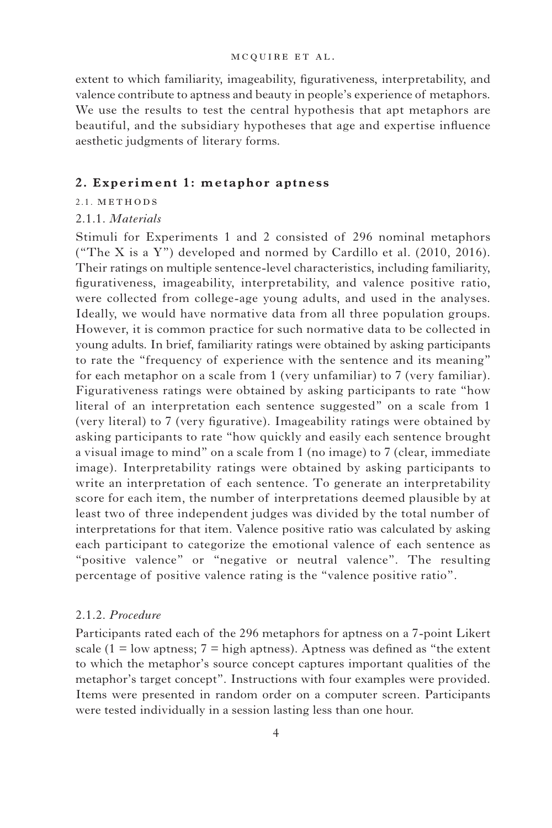#### mc quire e t al.

extent to which familiarity, imageability, figurativeness, interpretability, and valence contribute to aptness and beauty in people's experience of metaphors. We use the results to test the central hypothesis that apt metaphors are beautiful, and the subsidiary hypotheses that age and expertise influence aesthetic judgments of literary forms.

# **2. Experiment 1: metaphor aptness**

# 2.1. METHODS

# 2.1.1. *Materials*

Stimuli for Experiments 1 and 2 consisted of 296 nominal metaphors ("The X is a Y") developed and normed by Cardillo et al.  $(2010, 2016)$ . Their ratings on multiple sentence-level characteristics, including familiarity, figurativeness, imageability, interpretability, and valence positive ratio, were collected from college-age young adults, and used in the analyses. Ideally, we would have normative data from all three population groups. However, it is common practice for such normative data to be collected in young adults. In brief, familiarity ratings were obtained by asking participants to rate the "frequency of experience with the sentence and its meaning" for each metaphor on a scale from 1 (very unfamiliar) to 7 (very familiar). Figurativeness ratings were obtained by asking participants to rate "how literal of an interpretation each sentence suggested" on a scale from 1 (very literal) to 7 (very figurative). Imageability ratings were obtained by asking participants to rate "how quickly and easily each sentence brought a visual image to mind" on a scale from 1 (no image) to 7 (clear, immediate image). Interpretability ratings were obtained by asking participants to write an interpretation of each sentence. To generate an interpretability score for each item, the number of interpretations deemed plausible by at least two of three independent judges was divided by the total number of interpretations for that item. Valence positive ratio was calculated by asking each participant to categorize the emotional valence of each sentence as "positive valence" or "negative or neutral valence". The resulting percentage of positive valence rating is the "valence positive ratio".

# 2.1.2. *Procedure*

Participants rated each of the 296 metaphors for aptness on a 7-point Likert scale ( $1 =$ low aptness;  $7 =$ high aptness). Aptness was defined as "the extent to which the metaphor's source concept captures important qualities of the metaphor's target concept". Instructions with four examples were provided. Items were presented in random order on a computer screen. Participants were tested individually in a session lasting less than one hour.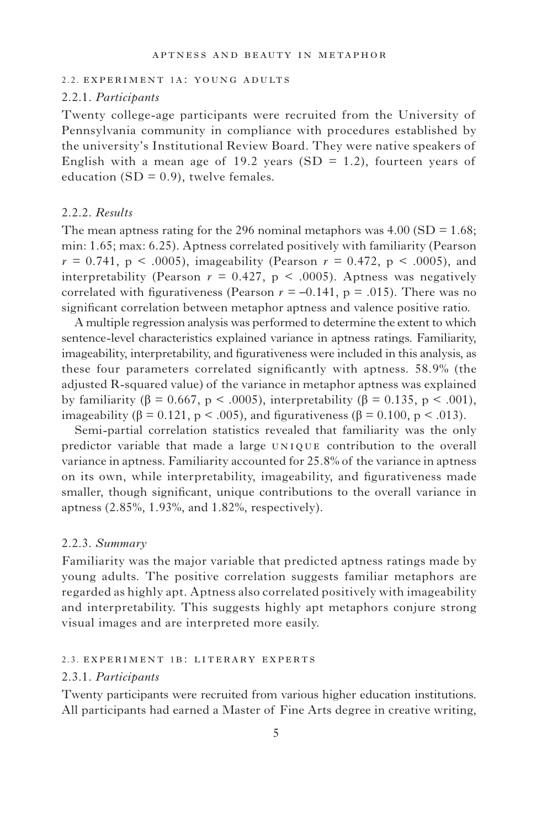#### 2.2. experiment 1a: young adults

# 2.2.1. *Participants*

Twenty college-age participants were recruited from the University of Pennsylvania community in compliance with procedures established by the university's Institutional Review Board. They were native speakers of English with a mean age of 19.2 years  $(SD = 1.2)$ , fourteen years of education  $(SD = 0.9)$ , twelve females.

#### 2.2.2. *Results*

The mean aptness rating for the 296 nominal metaphors was  $4.00$  (SD =  $1.68$ ; min: 1.65; max: 6.25). Aptness correlated positively with familiarity (Pearson  $r = 0.741$ ,  $p \le 0.0005$ , imageability (Pearson  $r = 0.472$ ,  $p \le 0.0005$ ), and interpretability (Pearson  $r = 0.427$ ,  $p < .0005$ ). Aptness was negatively correlated with figurativeness (Pearson  $r = -0.141$ ,  $p = .015$ ). There was no significant correlation between metaphor aptness and valence positive ratio.

A multiple regression analysis was performed to determine the extent to which sentence-level characteristics explained variance in aptness ratings. Familiarity, imageability, interpretability, and figurativeness were included in this analysis, as these four parameters correlated significantly with aptness. 58.9% (the adjusted R-squared value) of the variance in metaphor aptness was explained by familiarity (β = 0.667, p < .0005), interpretability (β = 0.135, p < .001), imageability ( $\beta = 0.121$ , p < .005), and figurativeness ( $\beta = 0.100$ , p < .013).

Semi-partial correlation statistics revealed that familiarity was the only predictor variable that made a large uniquecontribution to the overall variance in aptness. Familiarity accounted for 25.8% of the variance in aptness on its own, while interpretability, imageability, and figurativeness made smaller, though significant, unique contributions to the overall variance in aptness (2.85%, 1.93%, and 1.82%, respectively).

# 2.2.3. *Summary*

Familiarity was the major variable that predicted aptness ratings made by young adults. The positive correlation suggests familiar metaphors are regarded as highly apt. Aptness also correlated positively with imageability and interpretability. This suggests highly apt metaphors conjure strong visual images and are interpreted more easily.

#### 2.3. experiment 1b: literary experts

# 2.3.1. *Participants*

Twenty participants were recruited from various higher education institutions. All participants had earned a Master of Fine Arts degree in creative writing,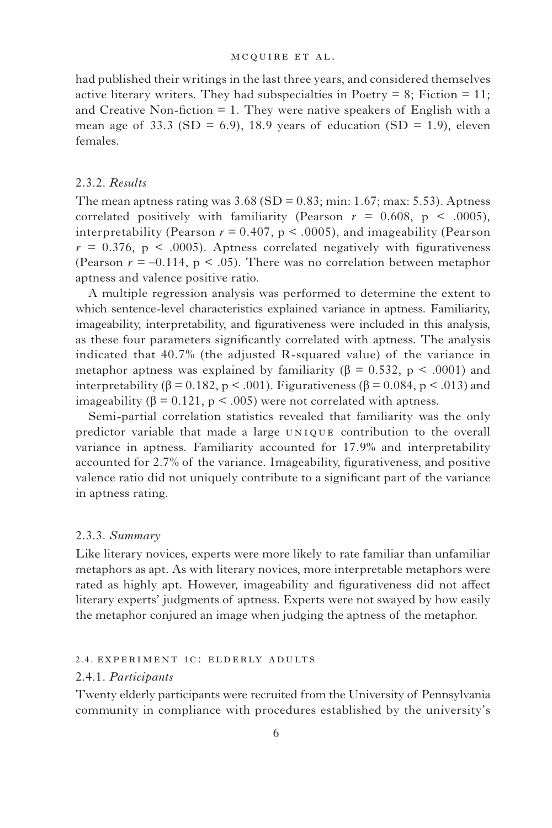#### mc quire e t al.

had published their writings in the last three years, and considered themselves active literary writers. They had subspecialties in Poetry  $= 8$ ; Fiction  $= 11$ ; and Creative Non-fiction  $= 1$ . They were native speakers of English with a mean age of 33.3 (SD = 6.9), 18.9 years of education (SD = 1.9), eleven females.

#### 2.3.2. *Results*

The mean aptness rating was  $3.68$  (SD = 0.83; min: 1.67; max: 5.53). Aptness correlated positively with familiarity (Pearson  $r = 0.608$ ,  $p \le .0005$ ), interpretability (Pearson  $r = 0.407$ ,  $p < .0005$ ), and imageability (Pearson  $r = 0.376$ ,  $p \le 0.0005$ ). Aptness correlated negatively with figurativeness (Pearson  $r = -0.114$ ,  $p < .05$ ). There was no correlation between metaphor aptness and valence positive ratio.

A multiple regression analysis was performed to determine the extent to which sentence-level characteristics explained variance in aptness. Familiarity, imageability, interpretability, and figurativeness were included in this analysis, as these four parameters significantly correlated with aptness. The analysis indicated that 40.7% (the adjusted R-squared value) of the variance in metaphor aptness was explained by familiarity ( $\beta = 0.532$ ,  $p < .0001$ ) and interpretability ( $\beta = 0.182$ ,  $p < .001$ ). Figurativeness ( $\beta = 0.084$ ,  $p < .013$ ) and imageability ( $\beta = 0.121$ ,  $p < .005$ ) were not correlated with aptness.

Semi-partial correlation statistics revealed that familiarity was the only predictor variable that made a large UNIQUE contribution to the overall variance in aptness. Familiarity accounted for 17.9% and interpretability accounted for 2.7% of the variance. Imageability, figurativeness, and positive valence ratio did not uniquely contribute to a significant part of the variance in aptness rating.

# 2.3.3. *Summary*

Like literary novices, experts were more likely to rate familiar than unfamiliar metaphors as apt. As with literary novices, more interpretable metaphors were rated as highly apt. However, imageability and figurativeness did not affect literary experts' judgments of aptness. Experts were not swayed by how easily the metaphor conjured an image when judging the aptness of the metaphor.

#### 2.4. experiment 1c: elderly adults

#### 2.4.1. *Participants*

Twenty elderly participants were recruited from the University of Pennsylvania community in compliance with procedures established by the university's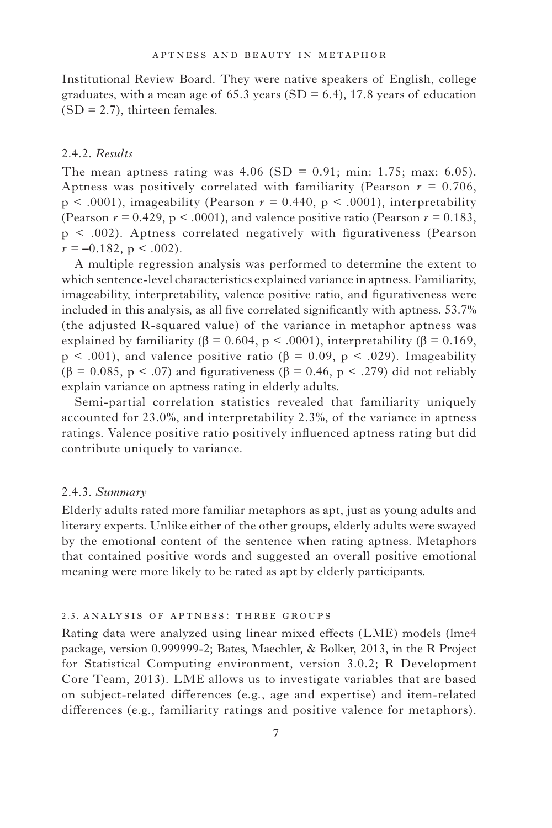Institutional Review Board. They were native speakers of English, college graduates, with a mean age of 65.3 years (SD = 6.4), 17.8 years of education  $(SD = 2.7)$ , thirteen females.

# 2.4.2. *Results*

The mean aptness rating was  $4.06$  (SD = 0.91; min: 1.75; max: 6.05). Aptness was positively correlated with familiarity (Pearson *r =* 0.706,  $p \leq .0001$ , imageability (Pearson  $r = 0.440$ ,  $p \leq .0001$ ), interpretability (Pearson  $r = 0.429$ ,  $p < .0001$ ), and valence positive ratio (Pearson  $r = 0.183$ ,  $p \leq .002$ ). Aptness correlated negatively with figurativeness (Pearson  $r = -0.182$ , p < .002).

A multiple regression analysis was performed to determine the extent to which sentence-level characteristics explained variance in aptness. Familiarity, imageability, interpretability, valence positive ratio, and figurativeness were included in this analysis, as all five correlated significantly with aptness.  $53.7\%$ (the adjusted R-squared value) of the variance in metaphor aptness was explained by familiarity ( $\beta = 0.604$ , p < .0001), interpretability ( $\beta = 0.169$ ,  $p < .001$ ), and valence positive ratio ( $\beta = 0.09$ ,  $p < .029$ ). Imageability  $(\beta = 0.085, p \leq .07)$  and figurativeness ( $\beta = 0.46, p \leq .279$ ) did not reliably explain variance on aptness rating in elderly adults.

Semi-partial correlation statistics revealed that familiarity uniquely accounted for 23.0%, and interpretability 2.3%, of the variance in aptness ratings. Valence positive ratio positively influenced aptness rating but did contribute uniquely to variance.

# 2.4.3. *Summary*

Elderly adults rated more familiar metaphors as apt, just as young adults and literary experts. Unlike either of the other groups, elderly adults were swayed by the emotional content of the sentence when rating aptness. Metaphors that contained positive words and suggested an overall positive emotional meaning were more likely to be rated as apt by elderly participants.

# 2.5. ANALYSIS OF APTNESS: THREE GROUPS

Rating data were analyzed using linear mixed effects (LME) models (lme4 package, version 0.999999-2; Bates, Maechler, & Bolker, 2013 , in the R Project for Statistical Computing environment, version 3.0.2; R Development Core Team, 2013). LME allows us to investigate variables that are based on subject-related differences (e.g., age and expertise) and item-related differences (e.g., familiarity ratings and positive valence for metaphors).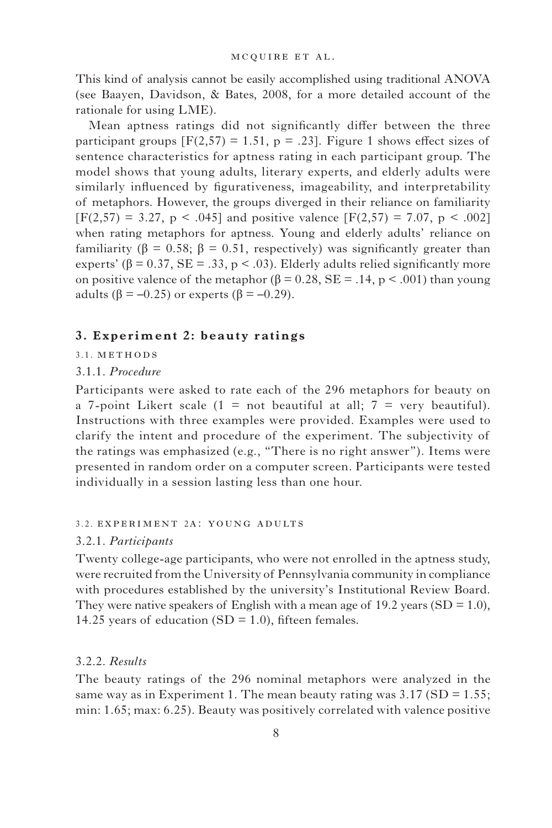This kind of analysis cannot be easily accomplished using traditional ANOVA (see Baayen, Davidson, & Bates, 2008 , for a more detailed account of the rationale for using LME).

Mean aptness ratings did not significantly differ between the three participant groups  $[F(2,57) = 1.51, p = .23]$ . Figure 1 shows effect sizes of sentence characteristics for aptness rating in each participant group. The model shows that young adults, literary experts, and elderly adults were similarly influenced by figurativeness, imageability, and interpretability of metaphors. However, the groups diverged in their reliance on familiarity  $[F(2,57) = 3.27, p \le .045]$  and positive valence  $[F(2,57) = 7.07, p \le .002]$ when rating metaphors for aptness. Young and elderly adults' reliance on familiarity ( $\beta = 0.58$ ;  $\beta = 0.51$ , respectively) was significantly greater than experts' ( $\beta$  = 0.37, SE = .33, p < .03). Elderly adults relied significantly more on positive valence of the metaphor ( $β = 0.28$ , SE = .14, p < .001) than young adults ( $\beta = -0.25$ ) or experts ( $\beta = -0.29$ ).

# **3. Experiment 2: beauty ratings**

3.1. METHODS

# 3.1.1. *Procedure*

Participants were asked to rate each of the 296 metaphors for beauty on a 7-point Likert scale  $(1 = not beautiful at all; 7 = very beautiful).$ Instructions with three examples were provided. Examples were used to clarify the intent and procedure of the experiment. The subjectivity of the ratings was emphasized (e.g., "There is no right answer"). Items were presented in random order on a computer screen. Participants were tested individually in a session lasting less than one hour.

# 3.2. experiment 2a: young adults

#### 3.2.1. *Participants*

Twenty college-age participants, who were not enrolled in the aptness study, were recruited from the University of Pennsylvania community in compliance with procedures established by the university's Institutional Review Board. They were native speakers of English with a mean age of 19.2 years  $(SD = 1.0)$ , 14.25 years of education  $(SD = 1.0)$ , fifteen females.

# 3.2.2. *Results*

The beauty ratings of the 296 nominal metaphors were analyzed in the same way as in Experiment 1. The mean beauty rating was  $3.17 \text{ (SD} = 1.55;$ min: 1.65; max: 6.25). Beauty was positively correlated with valence positive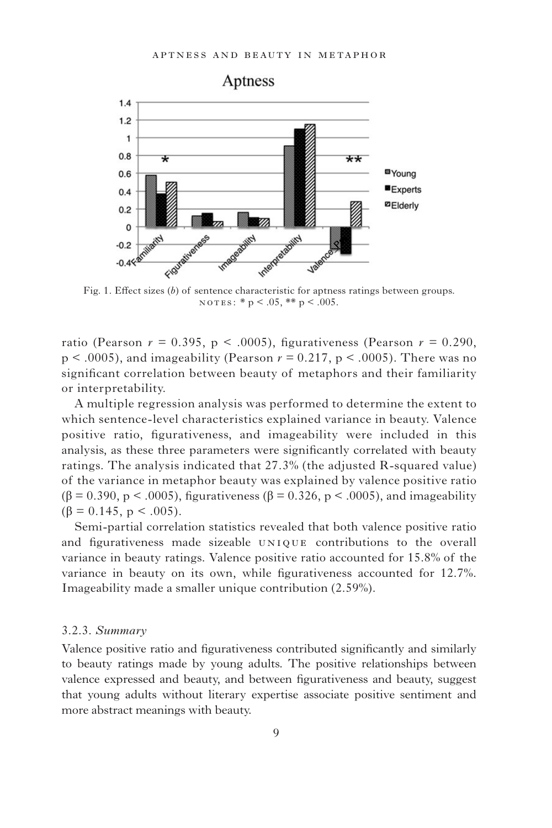

Fig. 1. Effect sizes (b) of sentence characteristic for aptness ratings between groups.  $NOTES: * p < .05, ** p < .005.$ 

ratio (Pearson  $r = 0.395$ , p < .0005), figurativeness (Pearson  $r = 0.290$ , p < .0005), and imageability (Pearson *r =* 0.217, p < .0005). There was no significant correlation between beauty of metaphors and their familiarity or interpretability.

A multiple regression analysis was performed to determine the extent to which sentence-level characteristics explained variance in beauty. Valence positive ratio, figurativeness, and imageability were included in this analysis, as these three parameters were significantly correlated with beauty ratings. The analysis indicated that 27.3% (the adjusted R-squared value) of the variance in metaphor beauty was explained by valence positive ratio (β = 0.390, p < .0005), figurativeness (β = 0.326, p < .0005), and imageability  $(\beta = 0.145, p < .005)$ .

Semi-partial correlation statistics revealed that both valence positive ratio and figurativeness made sizeable UNIQUE contributions to the overall variance in beauty ratings. Valence positive ratio accounted for 15.8% of the variance in beauty on its own, while figurativeness accounted for 12.7%. Imageability made a smaller unique contribution (2.59%).

# 3.2.3. *Summary*

Valence positive ratio and figurativeness contributed significantly and similarly to beauty ratings made by young adults. The positive relationships between valence expressed and beauty, and between figurativeness and beauty, suggest that young adults without literary expertise associate positive sentiment and more abstract meanings with beauty.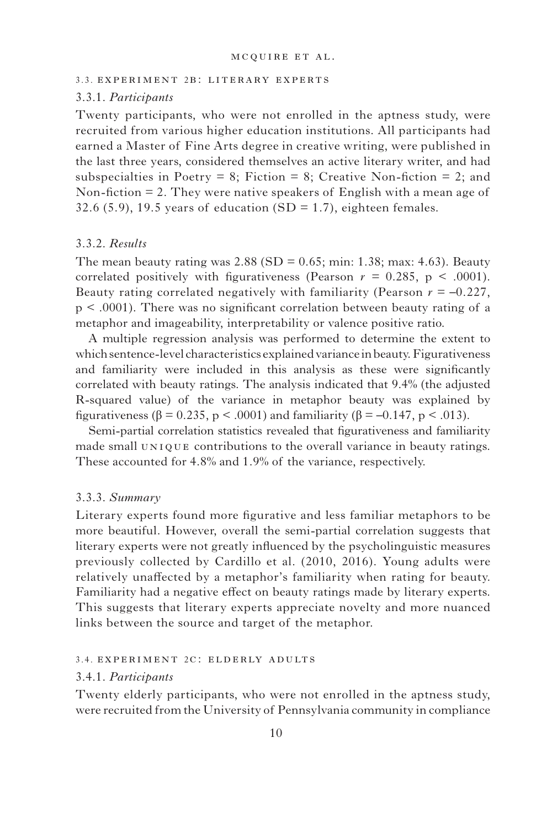#### 3.3. experiment 2b: literary experts

#### 3.3.1. *Participants*

Twenty participants, who were not enrolled in the aptness study, were recruited from various higher education institutions. All participants had earned a Master of Fine Arts degree in creative writing, were published in the last three years, considered themselves an active literary writer, and had subspecialties in Poetry = 8; Fiction = 8; Creative Non-fiction = 2; and Non-fiction  $= 2$ . They were native speakers of English with a mean age of 32.6 (5.9), 19.5 years of education  $(SD = 1.7)$ , eighteen females.

# 3.3.2. *Results*

The mean beauty rating was  $2.88$  (SD = 0.65; min: 1.38; max: 4.63). Beauty correlated positively with figurativeness (Pearson  $r = 0.285$ ,  $p \leq .0001$ ). Beauty rating correlated negatively with familiarity (Pearson *r = –*0.227,  $p \leq 0.0001$ . There was no significant correlation between beauty rating of a metaphor and imageability, interpretability or valence positive ratio.

A multiple regression analysis was performed to determine the extent to which sentence-level characteristics explained variance in beauty. Figurativeness and familiarity were included in this analysis as these were significantly correlated with beauty ratings. The analysis indicated that 9.4% (the adjusted R-squared value) of the variance in metaphor beauty was explained by figurativeness ( $\beta$  = 0.235, p < .0001) and familiarity ( $\beta$  = -0.147, p < .013).

Semi-partial correlation statistics revealed that figurativeness and familiarity made small UNIQUE contributions to the overall variance in beauty ratings. These accounted for 4.8% and 1.9% of the variance, respectively.

# 3.3.3. *Summary*

Literary experts found more figurative and less familiar metaphors to be more beautiful. However, overall the semi-partial correlation suggests that literary experts were not greatly influenced by the psycholinguistic measures previously collected by Cardillo et al. (2010, 2016). Young adults were relatively unaffected by a metaphor's familiarity when rating for beauty. Familiarity had a negative effect on beauty ratings made by literary experts. This suggests that literary experts appreciate novelty and more nuanced links between the source and target of the metaphor.

#### 3.4. experiment 2c: elderly adults

#### 3.4.1. *Participants*

Twenty elderly participants, who were not enrolled in the aptness study, were recruited from the University of Pennsylvania community in compliance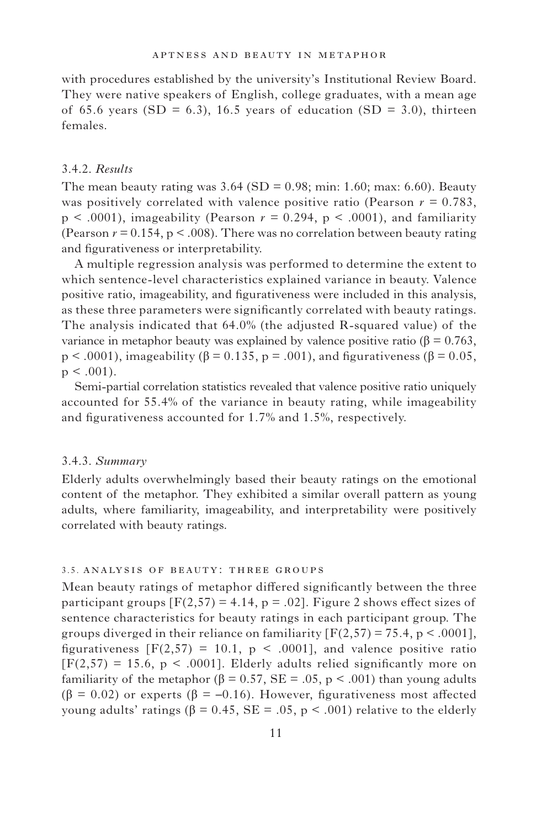with procedures established by the university's Institutional Review Board. They were native speakers of English, college graduates, with a mean age of 65.6 years (SD = 6.3), 16.5 years of education (SD = 3.0), thirteen females.

# 3.4.2. *Results*

The mean beauty rating was  $3.64$  (SD = 0.98; min: 1.60; max: 6.60). Beauty was positively correlated with valence positive ratio (Pearson  $r = 0.783$ ,  $p < .0001$ ), imageability (Pearson  $r = 0.294$ ,  $p < .0001$ ), and familiarity (Pearson  $r = 0.154$ ,  $p < .008$ ). There was no correlation between beauty rating and figurativeness or interpretability.

A multiple regression analysis was performed to determine the extent to which sentence-level characteristics explained variance in beauty. Valence positive ratio, imageability, and figurativeness were included in this analysis, as these three parameters were significantly correlated with beauty ratings. The analysis indicated that 64.0% (the adjusted R-squared value) of the variance in metaphor beauty was explained by valence positive ratio ( $β = 0.763$ ,  $p < .0001$ ), imageability ( $\beta = 0.135$ ,  $p = .001$ ), and figurativeness ( $\beta = 0.05$ ,  $p < .001$ ).

Semi-partial correlation statistics revealed that valence positive ratio uniquely accounted for 55.4% of the variance in beauty rating, while imageability and figurativeness accounted for  $1.7\%$  and  $1.5\%$ , respectively.

#### 3.4.3. *Summary*

Elderly adults overwhelmingly based their beauty ratings on the emotional content of the metaphor. They exhibited a similar overall pattern as young adults, where familiarity, imageability, and interpretability were positively correlated with beauty ratings.

#### 3.5. ANALYSIS OF BEAUTY: THREE GROUPS

Mean beauty ratings of metaphor differed significantly between the three participant groups  $[F(2,57) = 4.14, p = .02]$ . Figure 2 shows effect sizes of sentence characteristics for beauty ratings in each participant group. The groups diverged in their reliance on familiarity  $[F(2,57) = 75.4, p < .0001]$ , figurativeness  $[F(2,57) = 10.1, p < .0001]$ , and valence positive ratio  $[F(2,57) = 15.6, p < .0001]$ . Elderly adults relied significantly more on familiarity of the metaphor ( $\beta = 0.57$ ,  $SE = .05$ ,  $p < .001$ ) than young adults ( $\beta$  = 0.02) or experts ( $\beta$  = -0.16). However, figurativeness most affected young adults' ratings ( $β = 0.45$ ,  $SE = .05$ ,  $p < .001$ ) relative to the elderly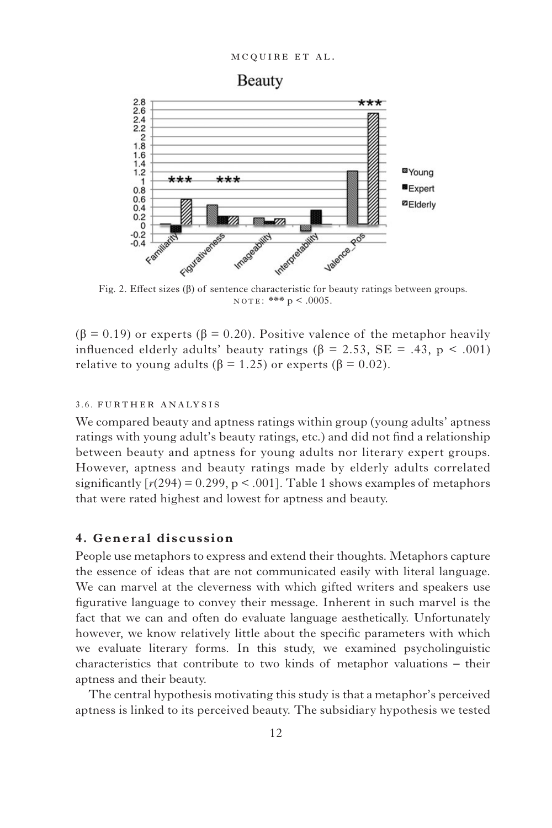

Fig. 2. Effect sizes  $(\beta)$  of sentence characteristic for beauty ratings between groups.  $NOTE:*** p < .0005.$ 

 $(β = 0.19)$  or experts  $(β = 0.20)$ . Positive valence of the metaphor heavily influenced elderly adults' beauty ratings ( $\beta = 2.53$ , SE = .43, p < .001) relative to young adults ( $\beta = 1.25$ ) or experts ( $\beta = 0.02$ ).

# 3.6. further analysis

We compared beauty and aptness ratings within group (young adults' aptness ratings with young adult's beauty ratings, etc.) and did not find a relationship between beauty and aptness for young adults nor literary expert groups. However, aptness and beauty ratings made by elderly adults correlated significantly  $[r(294) = 0.299, p < .001]$ . Table 1 shows examples of metaphors that were rated highest and lowest for aptness and beauty.

# **4. General discussion**

People use metaphors to express and extend their thoughts. Metaphors capture the essence of ideas that are not communicated easily with literal language. We can marvel at the cleverness with which gifted writers and speakers use figurative language to convey their message. Inherent in such marvel is the fact that we can and often do evaluate language aesthetically. Unfortunately however, we know relatively little about the specific parameters with which we evaluate literary forms. In this study, we examined psycholinguistic characteristics that contribute to two kinds of metaphor valuations – their aptness and their beauty.

The central hypothesis motivating this study is that a metaphor's perceived aptness is linked to its perceived beauty. The subsidiary hypothesis we tested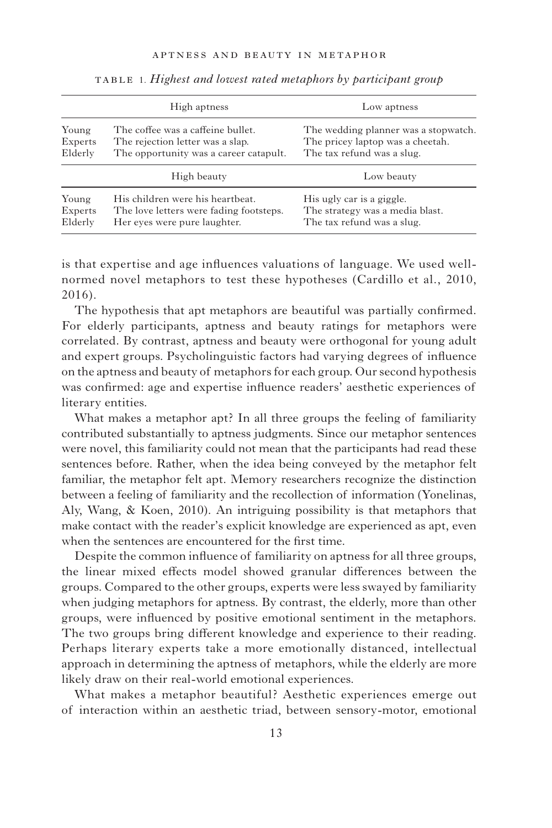|                             | High aptness                                                                                                    | Low aptness                                                                                            |
|-----------------------------|-----------------------------------------------------------------------------------------------------------------|--------------------------------------------------------------------------------------------------------|
| Young<br>Experts<br>Elderly | The coffee was a caffeine bullet.<br>The rejection letter was a slap.<br>The opportunity was a career catapult. | The wedding planner was a stopwatch.<br>The pricey laptop was a cheetah.<br>The tax refund was a slug. |
|                             | High beauty                                                                                                     | Low beauty                                                                                             |
| Young<br>Experts<br>Elderly | His children were his heartbeat.<br>The love letters were fading footsteps.<br>Her eves were pure laughter.     | His ugly car is a giggle.<br>The strategy was a media blast.<br>The tax refund was a slug.             |

table 1. *Highest and lowest rated metaphors by participant group* 

is that expertise and age influences valuations of language. We used wellnormed novel metaphors to test these hypotheses (Cardillo et al., 2010,  $2016$ .

The hypothesis that apt metaphors are beautiful was partially confirmed. For elderly participants, aptness and beauty ratings for metaphors were correlated. By contrast, aptness and beauty were orthogonal for young adult and expert groups. Psycholinguistic factors had varying degrees of influence on the aptness and beauty of metaphors for each group. Our second hypothesis was confirmed: age and expertise influence readers' aesthetic experiences of literary entities.

What makes a metaphor apt? In all three groups the feeling of familiarity contributed substantially to aptness judgments. Since our metaphor sentences were novel, this familiarity could not mean that the participants had read these sentences before. Rather, when the idea being conveyed by the metaphor felt familiar, the metaphor felt apt. Memory researchers recognize the distinction between a feeling of familiarity and the recollection of information (Yonelinas, Aly, Wang,  $& Koen, 2010$ . An intriguing possibility is that metaphors that make contact with the reader's explicit knowledge are experienced as apt, even when the sentences are encountered for the first time.

Despite the common influence of familiarity on aptness for all three groups, the linear mixed effects model showed granular differences between the groups. Compared to the other groups, experts were less swayed by familiarity when judging metaphors for aptness. By contrast, the elderly, more than other groups, were influenced by positive emotional sentiment in the metaphors. The two groups bring different knowledge and experience to their reading. Perhaps literary experts take a more emotionally distanced, intellectual approach in determining the aptness of metaphors, while the elderly are more likely draw on their real-world emotional experiences.

What makes a metaphor beautiful? Aesthetic experiences emerge out of interaction within an aesthetic triad, between sensory-motor, emotional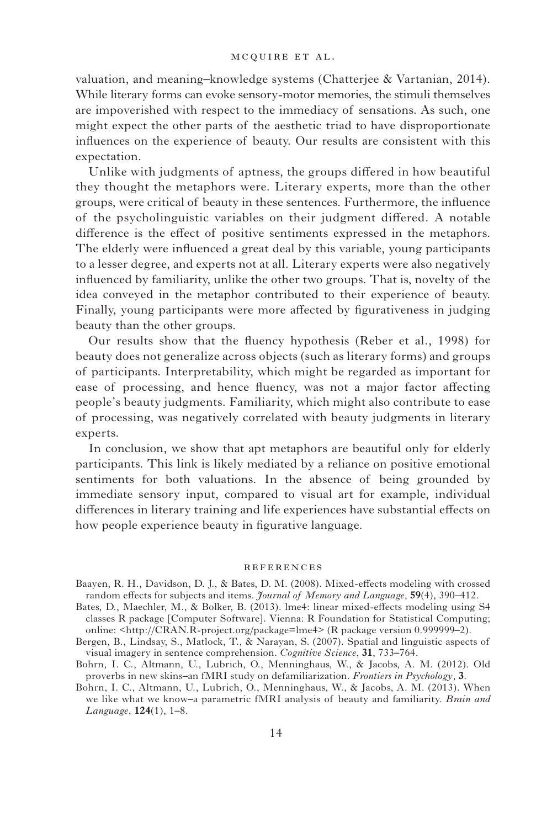valuation, and meaning-knowledge systems (Chatterjee & Vartanian, 2014). While literary forms can evoke sensory-motor memories, the stimuli themselves are impoverished with respect to the immediacy of sensations. As such, one might expect the other parts of the aesthetic triad to have disproportionate influences on the experience of beauty. Our results are consistent with this expectation.

Unlike with judgments of aptness, the groups differed in how beautiful they thought the metaphors were. Literary experts, more than the other groups, were critical of beauty in these sentences. Furthermore, the influence of the psycholinguistic variables on their judgment differed. A notable difference is the effect of positive sentiments expressed in the metaphors. The elderly were influenced a great deal by this variable, young participants to a lesser degree, and experts not at all. Literary experts were also negatively influenced by familiarity, unlike the other two groups. That is, novelty of the idea conveyed in the metaphor contributed to their experience of beauty. Finally, young participants were more affected by figurativeness in judging beauty than the other groups.

Our results show that the fluency hypothesis (Reber et al., 1998) for beauty does not generalize across objects (such as literary forms) and groups of participants. Interpretability, which might be regarded as important for ease of processing, and hence fluency, was not a major factor affecting people's beauty judgments. Familiarity, which might also contribute to ease of processing, was negatively correlated with beauty judgments in literary experts.

In conclusion, we show that apt metaphors are beautiful only for elderly participants. This link is likely mediated by a reliance on positive emotional sentiments for both valuations. In the absence of being grounded by immediate sensory input, compared to visual art for example, individual differences in literary training and life experiences have substantial effects on how people experience beauty in figurative language.

#### **REFERENCES**

- Bergen, B., Lindsay, S., Matlock, T., & Narayan, S. (2007). Spatial and linguistic aspects of visual imagery in sentence comprehension. *Cognitive Science*, 31, 733-764.
- Bohrn, I. C., Altmann, U., Lubrich, O., Menninghaus, W., & Jacobs, A. M. (2012). Old proverbs in new skins–an fMRI study on defamiliarization . *Frontiers in Psychology*, **3**.
- Bohrn, I. C., Altmann, U., Lubrich, O., Menninghaus, W., & Jacobs, A. M. (2013). When we like what we know–a parametric fMRI analysis of beauty and familiarity . *Brain and Language*, **124**(1), 1–8.

Baayen, R. H., Davidson, D. J., & Bates, D. M. (2008). Mixed-effects modeling with crossed random effects for subjects and items. *Journal of Memory and Language*, **59**(4), 390–412.

Bates, D., Maechler, M., & Bolker, B. (2013). lme4: linear mixed-effects modeling using S4 classes R package [Computer Software]. Vienna: R Foundation for Statistical Computing; online: < http://CRAN.R-project.org/package=lme4>(R package version 0.999999–2).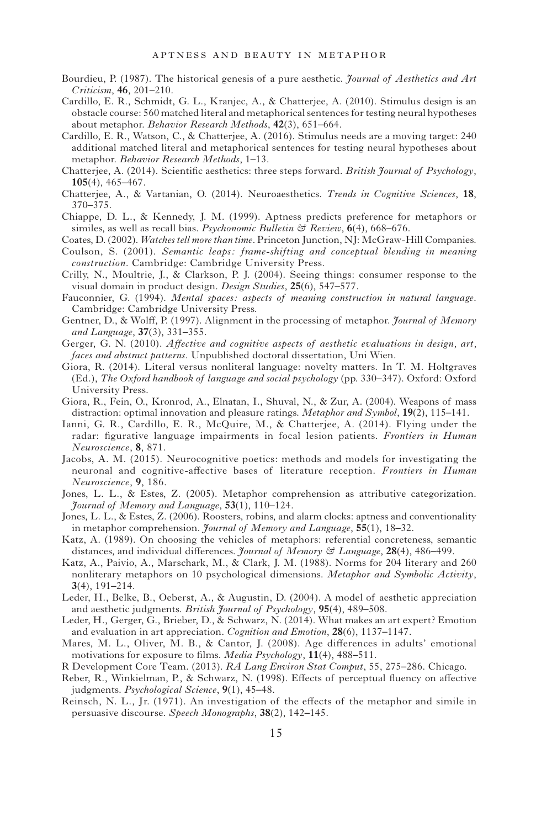- Bourdieu, P. (1987). The historical genesis of a pure aesthetic. *Journal of Aesthetics and Art Criticism*, **46**, 201–210.
- Cardillo, E. R., Schmidt, G. L., Kranjec, A., & Chatterjee, A. (2010). Stimulus design is an obstacle course: 560 matched literal and metaphorical sentences for testing neural hypotheses about metaphor. *Behavior Research Methods*, 42(3), 651-664.
- Cardillo, E. R., Watson, C., & Chatterjee, A. (2016). Stimulus needs are a moving target: 240 additional matched literal and metaphorical sentences for testing neural hypotheses about metaphor. *Behavior Research Methods*, 1-13.
- Chatterjee, A. (2014). Scientific aesthetics: three steps forward. *British Journal of Psychology*, **105**(4), 465–467.
- Chatterjee , A. , & Vartanian , O . ( 2014 ). Neuroaesthetics . *Trends in Cognitive Sciences*, **18**,  $370 - 375$ .
- Chiappe, D. L., & Kennedy, J. M. (1999). Aptness predicts preference for metaphors or similes, as well as recall bias. *Psychonomic Bulletin*  $\mathcal G$  *Review*, **6**(4), 668–676.

Coates, D. (2002). *Watches tell more than time*. Princeton Junction, NJ: McGraw-Hill Companies.

- Coulson, S. (2001). *Semantic leaps: frame-shifting and conceptual blending in meaning* construction. Cambridge: Cambridge University Press.
- Crilly, N., Moultrie, J., & Clarkson, P. J. (2004). Seeing things: consumer response to the visual domain in product design. *Design Studies*, 25(6), 547-577.
- Fauconnier, G. (1994). *Mental spaces: aspects of meaning construction in natural language.* Cambridge : Cambridge University Press .
- Gentner, D., & Wolff, P. (1997). Alignment in the processing of metaphor. *Journal of Memory* and Language,  $37(3)$ ,  $331-355$ .
- Gerger, G. N. (2010). *Affective and cognitive aspects of aesthetic evaluations in design, art, faces and abstract patterns*. Unpublished doctoral dissertation, Uni Wien.
- Giora , R . ( 2014 ). Literal versus nonliteral language: novelty matters . In T. M. Holtgraves (Ed.), *The Oxford handbook of language and social psychology* (pp. 330–347). Oxford: Oxford University Press .
- Giora, R., Fein, O., Kronrod, A., Elnatan, I., Shuval, N., & Zur, A. (2004). Weapons of mass distraction: optimal innovation and pleasure ratings. *Metaphor and Symbol*, **19**(2), **115**–141.
- Ianni, G. R., Cardillo, E. R., McQuire, M., & Chatterjee, A. (2014). Flying under the radar: figurative language impairments in focal lesion patients. *Frontiers in Human Neuroscience*, **8**, 871 .
- Jacobs, A. M. (2015). Neurocognitive poetics: methods and models for investigating the neuronal and cognitive-affective bases of literature reception. *Frontiers in Human Neuroscience*, **9**, 186 .
- Jones, L. L., & Estes, Z. (2005). Metaphor comprehension as attributive categorization. *<u>Fournal of Memory and Language, 53(1), 110–124.</u>*
- Jones, L. L., & Estes, Z. (2006). Roosters, robins, and alarm clocks: aptness and conventionality in metaphor comprehension. *Journal of Memory and Language*, **55**(1), 18-32.
- Katz, A. (1989). On choosing the vehicles of metaphors: referential concreteness, semantic distances, and individual differences. *Journal of Memory & Language*, 28(4), 486–499.
- Katz, A., Paivio, A., Marschark, M., & Clark, J. M. (1988). Norms for 204 literary and 260 nonliterary metaphors on 10 psychological dimensions . *Metaphor and Symbolic Activity*,  $3(4)$ ,  $191 - 214$ .
- Leder, H., Belke, B., Oeberst, A., & Augustin, D. (2004). A model of aesthetic appreciation and aesthetic judgments. *British Journal of Psychology*, 95(4), 489–508.
- Leder, H., Gerger, G., Brieber, D., & Schwarz, N. (2014). What makes an art expert? Emotion and evaluation in art appreciation. *Cognition and Emotion*, 28(6), 1137–1147.
- Mares, M. L., Oliver, M. B., & Cantor, J. (2008). Age differences in adults' emotional motivations for exposure to films. *Media Psychology*, 11(4), 488-511.
- R Development Core Team . ( 2013 ). *RA Lang Environ Stat Comput*, 55 , 275 286 . Chicago .
- Reber, R., Winkielman, P., & Schwarz, N. (1998). Effects of perceptual fluency on affective judgments. *Psychological Science*, 9(1), 45–48.
- Reinsch, N. L., Jr. (1971). An investigation of the effects of the metaphor and simile in persuasive discourse. Speech Monographs, 38(2), 142-145.